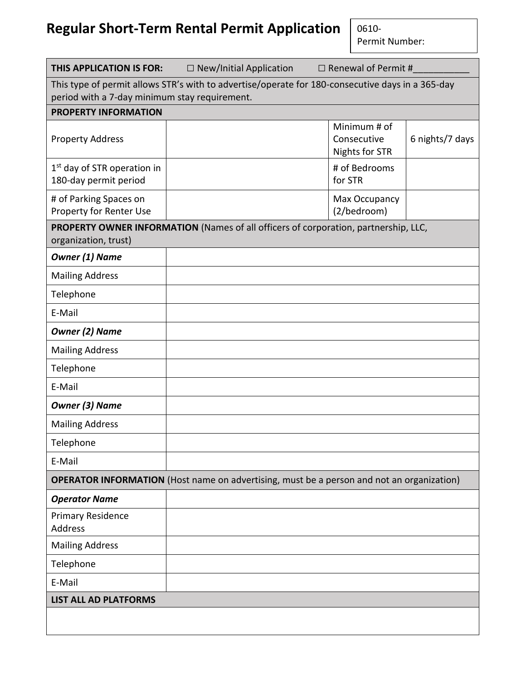## **Regular Short-Term Rental Permit Application**

0610- Permit Number:

| THIS APPLICATION IS FOR:                                                                                                                          | $\Box$ New/Initial Application                                                                   | $\Box$ Renewal of Permit #                           |                 |  |  |  |
|---------------------------------------------------------------------------------------------------------------------------------------------------|--------------------------------------------------------------------------------------------------|------------------------------------------------------|-----------------|--|--|--|
| This type of permit allows STR's with to advertise/operate for 180-consecutive days in a 365-day<br>period with a 7-day minimum stay requirement. |                                                                                                  |                                                      |                 |  |  |  |
| <b>PROPERTY INFORMATION</b>                                                                                                                       |                                                                                                  |                                                      |                 |  |  |  |
| <b>Property Address</b>                                                                                                                           |                                                                                                  | Minimum # of<br>Consecutive<br><b>Nights for STR</b> | 6 nights/7 days |  |  |  |
| 1 <sup>st</sup> day of STR operation in<br>180-day permit period                                                                                  |                                                                                                  | # of Bedrooms<br>for STR                             |                 |  |  |  |
| # of Parking Spaces on<br>Property for Renter Use                                                                                                 |                                                                                                  | Max Occupancy<br>(2/bedroom)                         |                 |  |  |  |
| organization, trust)                                                                                                                              | PROPERTY OWNER INFORMATION (Names of all officers of corporation, partnership, LLC,              |                                                      |                 |  |  |  |
| <b>Owner (1) Name</b>                                                                                                                             |                                                                                                  |                                                      |                 |  |  |  |
| <b>Mailing Address</b>                                                                                                                            |                                                                                                  |                                                      |                 |  |  |  |
| Telephone                                                                                                                                         |                                                                                                  |                                                      |                 |  |  |  |
| E-Mail                                                                                                                                            |                                                                                                  |                                                      |                 |  |  |  |
| <b>Owner (2) Name</b>                                                                                                                             |                                                                                                  |                                                      |                 |  |  |  |
| <b>Mailing Address</b>                                                                                                                            |                                                                                                  |                                                      |                 |  |  |  |
| Telephone                                                                                                                                         |                                                                                                  |                                                      |                 |  |  |  |
| E-Mail                                                                                                                                            |                                                                                                  |                                                      |                 |  |  |  |
| <b>Owner (3) Name</b>                                                                                                                             |                                                                                                  |                                                      |                 |  |  |  |
| <b>Mailing Address</b>                                                                                                                            |                                                                                                  |                                                      |                 |  |  |  |
| Telephone                                                                                                                                         |                                                                                                  |                                                      |                 |  |  |  |
| E-Mail                                                                                                                                            |                                                                                                  |                                                      |                 |  |  |  |
|                                                                                                                                                   | <b>OPERATOR INFORMATION</b> (Host name on advertising, must be a person and not an organization) |                                                      |                 |  |  |  |
| <b>Operator Name</b>                                                                                                                              |                                                                                                  |                                                      |                 |  |  |  |
| <b>Primary Residence</b><br><b>Address</b>                                                                                                        |                                                                                                  |                                                      |                 |  |  |  |
| <b>Mailing Address</b>                                                                                                                            |                                                                                                  |                                                      |                 |  |  |  |
| Telephone                                                                                                                                         |                                                                                                  |                                                      |                 |  |  |  |
| E-Mail                                                                                                                                            |                                                                                                  |                                                      |                 |  |  |  |
| <b>LIST ALL AD PLATFORMS</b>                                                                                                                      |                                                                                                  |                                                      |                 |  |  |  |
|                                                                                                                                                   |                                                                                                  |                                                      |                 |  |  |  |